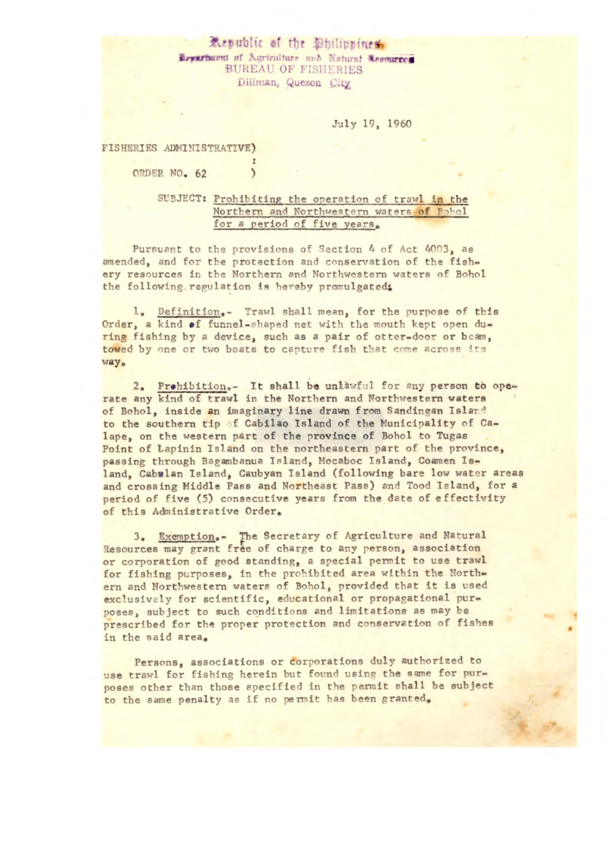## Republic of the *Philippines*. **Lexativent of Agriculture and Natural Acomuteen BUREAU OF FISHERIES** Diliman, Quezon City

## July 19, **1960**

## **FISHERIES ADMINISTRATIVE)**

**(DER NO. 62 )** 

## SUBJECT: Prohibiting the operation of trawl in the Northern and Northwestern waters of Bohol for a period of five years.

Pursuant to the provisions of Section 4 of Act 4003, as amended, and for the protection and conservation of the fishery resources in the Northern and Northwestern waters of Bohol the following regulation is hereby promulgated.

1. Definition.- Trawl shall mean, for the purpose of this Order, a kind of funnel-shaped net with the mouth kept open during fishing by a device, such as a pair of otter-door or bean, towed by one or two boats to capture fish that come across its way.

2. Prohibition.- It shall be unlawful for any person to operate any kind of trawl in the Northern and Northwestern waters of Bohol, inside an imaginary line drawn from Sandingan Island to the southern tip of Cabilao Island of the Municipality of Calape, on the western part of the province of Bohol to Tugas Point of Lapinin Island on the northeastern part of the province, passing through Baganbanua Island, Moaboc Island, Coamen Island, Cabalan Island, Caubyan Island (following bare low water areas and crossing Middle Pass and Northeast Pass) and Tood Island, for a period of five (5) consecutive years from the date of effectivity of this Administrative Order.

3. Exemption.- The Secretary of Agriculture and Natural Resources may grant free of charge to any person, association or corporation of good standing, a special permit to use trawl for fishing purposes, in the prohibited area within the Northern and Northwestern waters of Bohol, provided that it is used exclusively for scientific, educational or propagational purposes, subject to such conditions and limitations as may be prescribed for the proper protection and conservation of fishes in the said area.

Persons, associations or corporations duly authorized to use trawl for fishing herein but found using the same for purposes other than those specified in the permit shall be subject to the same penalty as if no permit has been granted.